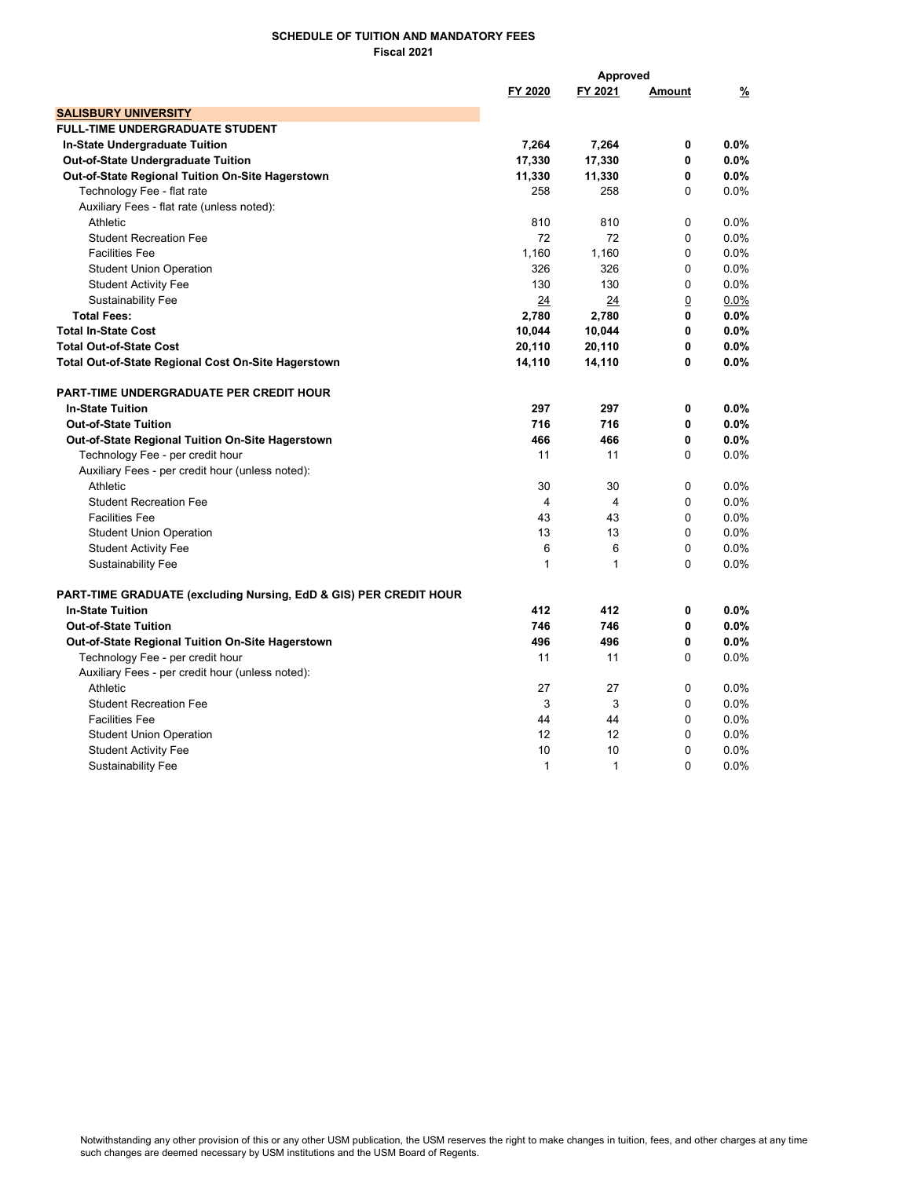## SCHEDULE OF TUITION AND MANDATORY FEES Fiscal 2021

|                                                                              | Approved       |                |                |               |
|------------------------------------------------------------------------------|----------------|----------------|----------------|---------------|
|                                                                              | FY 2020        | FY 2021        | Amount         | $\frac{9}{6}$ |
| <b>SALISBURY UNIVERSITY</b>                                                  |                |                |                |               |
| <b>FULL-TIME UNDERGRADUATE STUDENT</b>                                       |                |                |                |               |
| In-State Undergraduate Tuition                                               | 7,264          | 7,264          | 0              | 0.0%          |
| <b>Out-of-State Undergraduate Tuition</b>                                    | 17,330         | 17,330         | 0              | $0.0\%$       |
| Out-of-State Regional Tuition On-Site Hagerstown                             | 11,330         | 11,330         | $\mathbf{0}$   | 0.0%          |
| Technology Fee - flat rate                                                   | 258            | 258            | $\Omega$       | 0.0%          |
| Auxiliary Fees - flat rate (unless noted):                                   |                |                |                |               |
| Athletic                                                                     | 810            | 810            | $\Omega$       | $0.0\%$       |
| <b>Student Recreation Fee</b>                                                | 72             | 72             | $\mathbf{0}$   | 0.0%          |
| <b>Facilities Fee</b>                                                        | 1,160          | 1,160          | 0              | 0.0%          |
| <b>Student Union Operation</b>                                               | 326            | 326            | $\mathbf 0$    | 0.0%          |
| <b>Student Activity Fee</b>                                                  | 130            | 130            | $\mathbf{0}$   | 0.0%          |
| <b>Sustainability Fee</b>                                                    | 24             | 24             | $\overline{0}$ | $0.0\%$       |
| <b>Total Fees:</b>                                                           | 2,780          | 2,780          | 0              | $0.0\%$       |
| <b>Total In-State Cost</b>                                                   | 10,044         | 10,044         | 0              | 0.0%          |
| <b>Total Out-of-State Cost</b>                                               | 20,110         | 20,110         | 0              | $0.0\%$       |
| <b>Total Out-of-State Regional Cost On-Site Hagerstown</b>                   | 14,110         | 14,110         | $\mathbf{0}$   | $0.0\%$       |
| <b>PART-TIME UNDERGRADUATE PER CREDIT HOUR</b>                               |                |                |                |               |
| <b>In-State Tuition</b>                                                      | 297            | 297            | 0              | 0.0%          |
| <b>Out-of-State Tuition</b>                                                  | 716            | 716            | 0              | $0.0\%$       |
| Out-of-State Regional Tuition On-Site Hagerstown                             | 466            | 466            | 0              | 0.0%          |
| Technology Fee - per credit hour                                             | 11             | 11             | $\Omega$       | 0.0%          |
| Auxiliary Fees - per credit hour (unless noted):                             |                |                |                |               |
| Athletic                                                                     | 30             | 30             | $\mathbf 0$    | 0.0%          |
| <b>Student Recreation Fee</b>                                                | $\overline{4}$ | $\overline{4}$ | $\Omega$       | 0.0%          |
| <b>Facilities Fee</b>                                                        | 43             | 43             | $\Omega$       | 0.0%          |
| <b>Student Union Operation</b>                                               | 13             | 13             | $\Omega$       | 0.0%          |
| <b>Student Activity Fee</b>                                                  | 6              | 6              | $\mathbf 0$    | 0.0%          |
| <b>Sustainability Fee</b>                                                    | $\mathbf{1}$   | $\mathbf{1}$   | $\Omega$       | 0.0%          |
| <b>PART-TIME GRADUATE (excluding Nursing, EdD &amp; GIS) PER CREDIT HOUR</b> |                |                |                |               |
| <b>In-State Tuition</b>                                                      | 412            | 412            | $\mathbf 0$    | 0.0%          |
| <b>Out-of-State Tuition</b>                                                  | 746            | 746            | 0              | 0.0%          |
| Out-of-State Regional Tuition On-Site Hagerstown                             | 496            | 496            | 0              | 0.0%          |
| Technology Fee - per credit hour                                             | 11             | 11             | $\Omega$       | 0.0%          |
| Auxiliary Fees - per credit hour (unless noted):                             |                |                |                |               |
| Athletic                                                                     | 27             | 27             | $\mathbf 0$    | 0.0%          |
| <b>Student Recreation Fee</b>                                                | 3              | 3              | $\mathbf{0}$   | 0.0%          |
| <b>Facilities Fee</b>                                                        | 44             | 44             | $\Omega$       | 0.0%          |
| <b>Student Union Operation</b>                                               | 12             | 12             | $\mathbf 0$    | 0.0%          |
| <b>Student Activity Fee</b>                                                  | 10             | 10             | $\mathbf 0$    | 0.0%          |
| <b>Sustainability Fee</b>                                                    | $\mathbf{1}$   | $\mathbf{1}$   | $\Omega$       | 0.0%          |